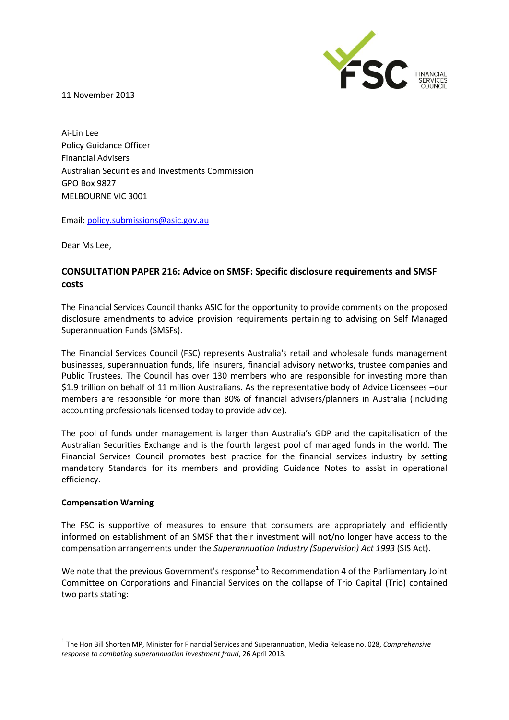11 November 2013



Ai-Lin Lee Policy Guidance Officer Financial Advisers Australian Securities and Investments Commission GPO Box 9827 MELBOURNE VIC 3001

Email: policy[.submissions@asic.gov.au](mailto:submissions@asic.gov.au)

Dear Ms Lee,

# **CONSULTATION PAPER 216: Advice on SMSF: Specific disclosure requirements and SMSF costs**

The Financial Services Council thanks ASIC for the opportunity to provide comments on the proposed disclosure amendments to advice provision requirements pertaining to advising on Self Managed Superannuation Funds (SMSFs).

The Financial Services Council (FSC) represents Australia's retail and wholesale funds management businesses, superannuation funds, life insurers, financial advisory networks, trustee companies and Public Trustees. The Council has over 130 members who are responsible for investing more than \$1.9 trillion on behalf of 11 million Australians. As the representative body of Advice Licensees –our members are responsible for more than 80% of financial advisers/planners in Australia (including accounting professionals licensed today to provide advice).

The pool of funds under management is larger than Australia's GDP and the capitalisation of the Australian Securities Exchange and is the fourth largest pool of managed funds in the world. The Financial Services Council promotes best practice for the financial services industry by setting mandatory Standards for its members and providing Guidance Notes to assist in operational efficiency.

### **Compensation Warning**

**.** 

The FSC is supportive of measures to ensure that consumers are appropriately and efficiently informed on establishment of an SMSF that their investment will not/no longer have access to the compensation arrangements under the *Superannuation Industry (Supervision) Act 1993* (SIS Act).

We note that the previous Government's response<sup>1</sup> to Recommendation 4 of the Parliamentary Joint Committee on Corporations and Financial Services on the collapse of Trio Capital (Trio) contained two parts stating:

<sup>1</sup> The Hon Bill Shorten MP, Minister for Financial Services and Superannuation, Media Release no. 028, *Comprehensive response to combating superannuation investment fraud*, 26 April 2013.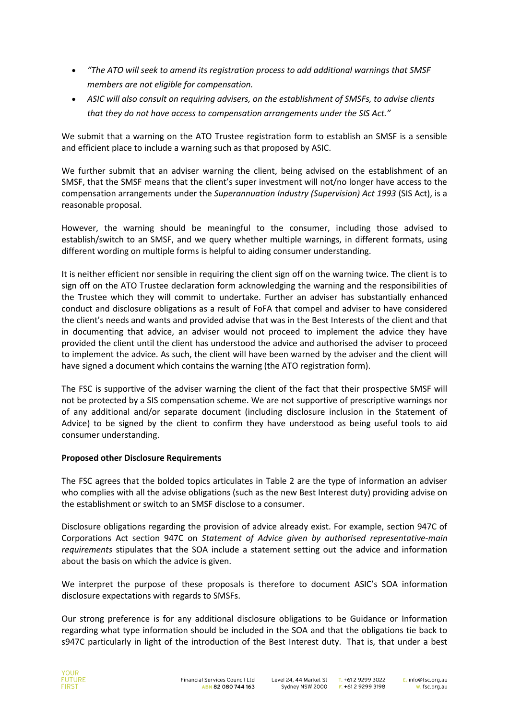- *"The ATO will seek to amend its registration process to add additional warnings that SMSF members are not eligible for compensation.*
- *ASIC will also consult on requiring advisers, on the establishment of SMSFs, to advise clients that they do not have access to compensation arrangements under the SIS Act."*

We submit that a warning on the ATO Trustee registration form to establish an SMSF is a sensible and efficient place to include a warning such as that proposed by ASIC.

We further submit that an adviser warning the client, being advised on the establishment of an SMSF, that the SMSF means that the client's super investment will not/no longer have access to the compensation arrangements under the *Superannuation Industry (Supervision) Act 1993* (SIS Act), is a reasonable proposal.

However, the warning should be meaningful to the consumer, including those advised to establish/switch to an SMSF, and we query whether multiple warnings, in different formats, using different wording on multiple forms is helpful to aiding consumer understanding.

It is neither efficient nor sensible in requiring the client sign off on the warning twice. The client is to sign off on the ATO Trustee declaration form acknowledging the warning and the responsibilities of the Trustee which they will commit to undertake. Further an adviser has substantially enhanced conduct and disclosure obligations as a result of FoFA that compel and adviser to have considered the client's needs and wants and provided advise that was in the Best Interests of the client and that in documenting that advice, an adviser would not proceed to implement the advice they have provided the client until the client has understood the advice and authorised the adviser to proceed to implement the advice. As such, the client will have been warned by the adviser and the client will have signed a document which contains the warning (the ATO registration form).

The FSC is supportive of the adviser warning the client of the fact that their prospective SMSF will not be protected by a SIS compensation scheme. We are not supportive of prescriptive warnings nor of any additional and/or separate document (including disclosure inclusion in the Statement of Advice) to be signed by the client to confirm they have understood as being useful tools to aid consumer understanding.

## **Proposed other Disclosure Requirements**

The FSC agrees that the bolded topics articulates in Table 2 are the type of information an adviser who complies with all the advise obligations (such as the new Best Interest duty) providing advise on the establishment or switch to an SMSF disclose to a consumer.

Disclosure obligations regarding the provision of advice already exist. For example, section 947C of Corporations Act section 947C on *Statement of Advice given by authorised representative-main requirements* stipulates that the SOA include a statement setting out the advice and information about the basis on which the advice is given.

We interpret the purpose of these proposals is therefore to document ASIC's SOA information disclosure expectations with regards to SMSFs.

Our strong preference is for any additional disclosure obligations to be Guidance or Information regarding what type information should be included in the SOA and that the obligations tie back to s947C particularly in light of the introduction of the Best Interest duty. That is, that under a best

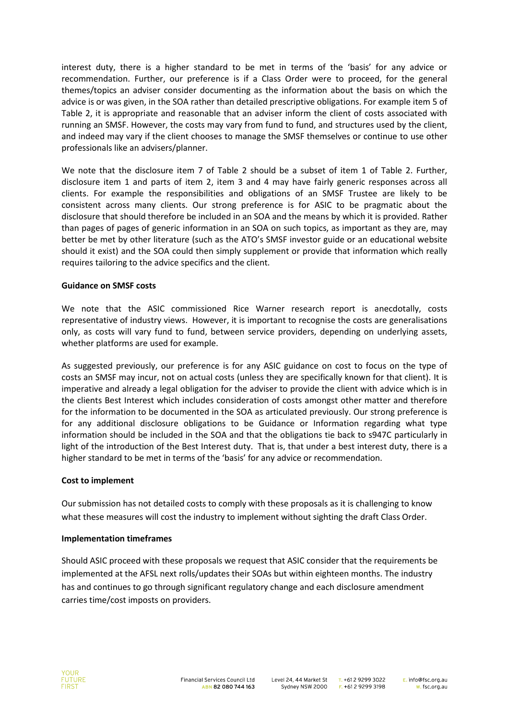interest duty, there is a higher standard to be met in terms of the 'basis' for any advice or recommendation. Further, our preference is if a Class Order were to proceed, for the general themes/topics an adviser consider documenting as the information about the basis on which the advice is or was given, in the SOA rather than detailed prescriptive obligations. For example item 5 of Table 2, it is appropriate and reasonable that an adviser inform the client of costs associated with running an SMSF. However, the costs may vary from fund to fund, and structures used by the client, and indeed may vary if the client chooses to manage the SMSF themselves or continue to use other professionals like an advisers/planner.

We note that the disclosure item 7 of Table 2 should be a subset of item 1 of Table 2. Further, disclosure item 1 and parts of item 2, item 3 and 4 may have fairly generic responses across all clients. For example the responsibilities and obligations of an SMSF Trustee are likely to be consistent across many clients. Our strong preference is for ASIC to be pragmatic about the disclosure that should therefore be included in an SOA and the means by which it is provided. Rather than pages of pages of generic information in an SOA on such topics, as important as they are, may better be met by other literature (such as the ATO's SMSF investor guide or an educational website should it exist) and the SOA could then simply supplement or provide that information which really requires tailoring to the advice specifics and the client.

### **Guidance on SMSF costs**

We note that the ASIC commissioned Rice Warner research report is anecdotally, costs representative of industry views. However, it is important to recognise the costs are generalisations only, as costs will vary fund to fund, between service providers, depending on underlying assets, whether platforms are used for example.

As suggested previously, our preference is for any ASIC guidance on cost to focus on the type of costs an SMSF may incur, not on actual costs (unless they are specifically known for that client). It is imperative and already a legal obligation for the adviser to provide the client with advice which is in the clients Best Interest which includes consideration of costs amongst other matter and therefore for the information to be documented in the SOA as articulated previously. Our strong preference is for any additional disclosure obligations to be Guidance or Information regarding what type information should be included in the SOA and that the obligations tie back to s947C particularly in light of the introduction of the Best Interest duty. That is, that under a best interest duty, there is a higher standard to be met in terms of the 'basis' for any advice or recommendation.

### **Cost to implement**

Our submission has not detailed costs to comply with these proposals as it is challenging to know what these measures will cost the industry to implement without sighting the draft Class Order.

## **Implementation timeframes**

Should ASIC proceed with these proposals we request that ASIC consider that the requirements be implemented at the AFSL next rolls/updates their SOAs but within eighteen months. The industry has and continues to go through significant regulatory change and each disclosure amendment carries time/cost imposts on providers.